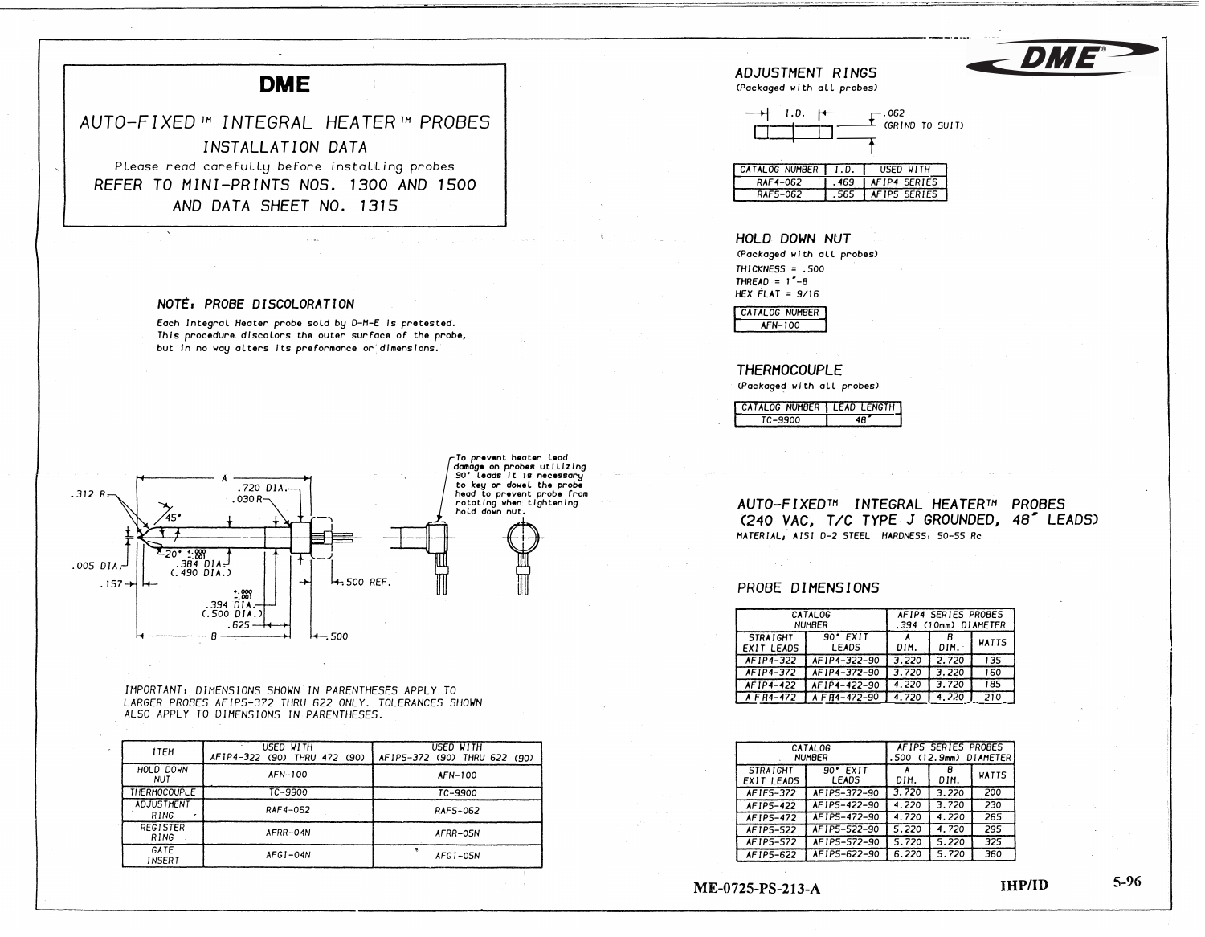

 $.312 R.$ 

.005 DIA

 $.157 +$ 

 $.030R$ 

 $1.98$ .394 DIA  $(.500$   $DIA.$  $.625 -$ 

ALSO APPLY TO DIMENSIONS IN PARENTHESES.

H .500 REF.

USED WITH

AF1P5-372 (90) THRU 622 (90)

AFN-100

TC-9900

RAF5-062

AFRR-05N

AFGI-05N

 $H = 500$ 

IMPORTANT: DIMENSIONS SHOWN IN PARENTHESES APPLY TO LARGER PROBES AFIP5-372 THRU 622 ONLY. TOLERANCES SHOWN

**USED WITH** 

AFIP4-322 (90) THRU 472 (90)

AFN-100

TC-9900

RAF4-062

AFRR-04N

 $AFGI-04N$ 

 $\frac{1.889}{384 \cdot 01A}$ 

 $(.490\overline{DIA.})$ 

2٥٠

**İTEM** 

HOLD DOWN

**NUT THERMOCOUPLE** 

ADJUSTMENT

RING **REGISTER** 

**RING**  $GATE$ 

**INSERT** 

AUTO-FIXED<sup>TH</sup> INTEGRAL HEATERTH PROBES (240 VAC, T/C TYPE J GROUNDED, 48" LEADS) MATERIAL, AISI D-2 STEEL HARDNESS, 50-55 Rc

### PROBE DIMENSIONS

| <b>CATALOG</b><br><b>NUMBER</b>      |                            | AFIP4 SERIES PROBES<br>(10mm) DIAMETER<br>. 394 |       |              |
|--------------------------------------|----------------------------|-------------------------------------------------|-------|--------------|
| <b>STRAIGHT</b><br><b>EXIT LEADS</b> | $90'$ EXIT<br><b>LEADS</b> | DIM.                                            | DIM.  | <b>WATTS</b> |
| AF1P4-322                            | AF1P4-322-90               | 3.220                                           | 2.720 | 135          |
| AF1P4-372                            | AF1P4-372-90               | 3.720                                           | 3.220 | 160          |
| AF1P4-422                            | AF1P4-422-90               | 4.220                                           | 3.720 | 185          |
| A F R4-472                           | A F R4-472-90              | 4.720                                           | 4.220 | 210          |

| <b>CATALOG</b><br><b>NUMBER</b> |                            | AFIP5 SERIES PROBES<br>(12.9mm) DIAMETER<br>.500 |       |              |
|---------------------------------|----------------------------|--------------------------------------------------|-------|--------------|
| <b>STRAIGHT</b><br>EXIT LEADS   | $90'$ EXIT<br><b>LEADS</b> | DIM.                                             | DIM.  | <b>WATTS</b> |
| AF1F5-372                       | AF1P5-372-90               | 3.720                                            | 3.220 | 200          |
| AF1P5-422                       | AF1P5-422-90               | 4.220                                            | 3.720 | 230          |
| AF1P5-472                       | AF1P5-472-90               | 4.720                                            | 4.220 | 265          |
| <b>AF1P5-522</b>                | AF1P5-522-90               | 5.220                                            | 4.720 | 295          |
| AF1P5-572                       | AF1P5-572-90               | 5.720                                            | 5.220 | 325          |
| AF1P5-622                       | AF1P5-622-90               | 6.220                                            | 5.720 | 360          |

ME-0725-PS-213-A

**IHP/ID** 

 $5-96$